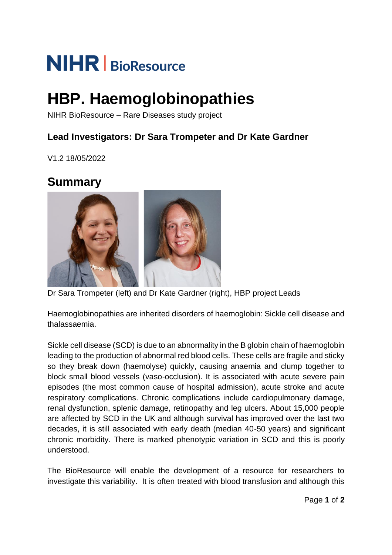# **NIHR** | BioResource

# **HBP. Haemoglobinopathies**

NIHR BioResource – Rare Diseases study project

### **Lead Investigators: Dr Sara Trompeter and Dr Kate Gardner**

V1.2 18/05/2022

## **Summary**



Dr Sara Trompeter (left) and Dr Kate Gardner (right), HBP project Leads

Haemoglobinopathies are inherited disorders of haemoglobin: Sickle cell disease and thalassaemia.

Sickle cell disease (SCD) is due to an abnormality in the B globin chain of haemoglobin leading to the production of abnormal red blood cells. These cells are fragile and sticky so they break down (haemolyse) quickly, causing anaemia and clump together to block small blood vessels (vaso-occlusion). It is associated with acute severe pain episodes (the most common cause of hospital admission), acute stroke and acute respiratory complications. Chronic complications include cardiopulmonary damage, renal dysfunction, splenic damage, retinopathy and leg ulcers. About 15,000 people are affected by SCD in the UK and although survival has improved over the last two decades, it is still associated with early death (median 40-50 years) and significant chronic morbidity. There is marked phenotypic variation in SCD and this is poorly understood.

The BioResource will enable the development of a resource for researchers to investigate this variability. It is often treated with blood transfusion and although this